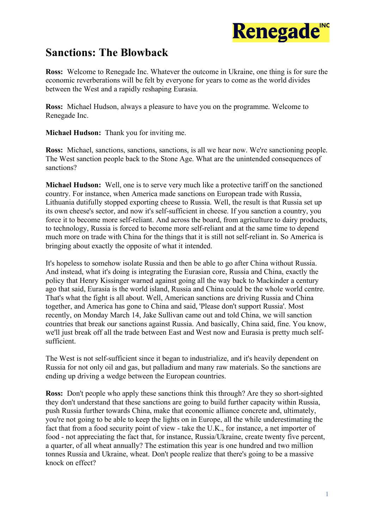

## **Sanctions: The Blowback**

**Ross:** Welcome to Renegade Inc. Whatever the outcome in Ukraine, one thing is for sure the economic reverberations will be felt by everyone for years to come as the world divides between the West and a rapidly reshaping Eurasia.

**Ross:** Michael Hudson, always a pleasure to have you on the programme. Welcome to Renegade Inc.

**Michael Hudson:** Thank you for inviting me.

**Ross:** Michael, sanctions, sanctions, sanctions, is all we hear now. We're sanctioning people. The West sanction people back to the Stone Age. What are the unintended consequences of sanctions?

**Michael Hudson:** Well, one is to serve very much like a protective tariff on the sanctioned country. For instance, when America made sanctions on European trade with Russia, Lithuania dutifully stopped exporting cheese to Russia. Well, the result is that Russia set up its own cheese's sector, and now it's self-sufficient in cheese. If you sanction a country, you force it to become more self-reliant. And across the board, from agriculture to dairy products, to technology, Russia is forced to become more self-reliant and at the same time to depend much more on trade with China for the things that it is still not self-reliant in. So America is bringing about exactly the opposite of what it intended.

It's hopeless to somehow isolate Russia and then be able to go after China without Russia. And instead, what it's doing is integrating the Eurasian core, Russia and China, exactly the policy that Henry Kissinger warned against going all the way back to Mackinder a century ago that said, Eurasia is the world island, Russia and China could be the whole world centre. That's what the fight is all about. Well, American sanctions are driving Russia and China together, and America has gone to China and said, 'Please don't support Russia'. Most recently, on Monday March 14, Jake Sullivan came out and told China, we will sanction countries that break our sanctions against Russia. And basically, China said, fine. You know, we'll just break off all the trade between East and West now and Eurasia is pretty much selfsufficient.

The West is not self-sufficient since it began to industrialize, and it's heavily dependent on Russia for not only oil and gas, but palladium and many raw materials. So the sanctions are ending up driving a wedge between the European countries.

**Ross:** Don't people who apply these sanctions think this through? Are they so short-sighted they don't understand that these sanctions are going to build further capacity within Russia, push Russia further towards China, make that economic alliance concrete and, ultimately, you're not going to be able to keep the lights on in Europe, all the while underestimating the fact that from a food security point of view - take the U.K., for instance, a net importer of food - not appreciating the fact that, for instance, Russia/Ukraine, create twenty five percent, a quarter, of all wheat annually? The estimation this year is one hundred and two million tonnes Russia and Ukraine, wheat. Don't people realize that there's going to be a massive knock on effect?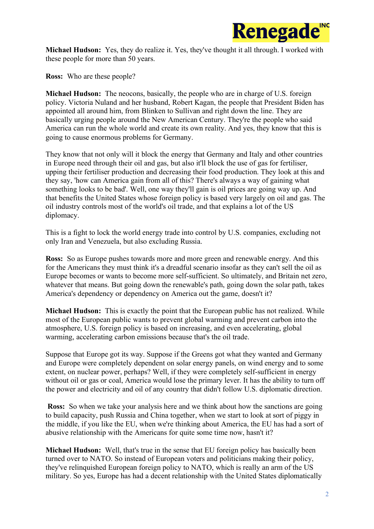

**Michael Hudson:** Yes, they do realize it. Yes, they've thought it all through. I worked with these people for more than 50 years.

**Ross:** Who are these people?

**Michael Hudson:** The neocons, basically, the people who are in charge of U.S. foreign policy. Victoria Nuland and her husband, Robert Kagan, the people that President Biden has appointed all around him, from Blinken to Sullivan and right down the line. They are basically urging people around the New American Century. They're the people who said America can run the whole world and create its own reality. And yes, they know that this is going to cause enormous problems for Germany.

They know that not only will it block the energy that Germany and Italy and other countries in Europe need through their oil and gas, but also it'll block the use of gas for fertiliser, upping their fertiliser production and decreasing their food production. They look at this and they say, 'how can America gain from all of this? There's always a way of gaining what something looks to be bad'. Well, one way they'll gain is oil prices are going way up. And that benefits the United States whose foreign policy is based very largely on oil and gas. The oil industry controls most of the world's oil trade, and that explains a lot of the US diplomacy.

This is a fight to lock the world energy trade into control by U.S. companies, excluding not only Iran and Venezuela, but also excluding Russia.

**Ross:** So as Europe pushes towards more and more green and renewable energy. And this for the Americans they must think it's a dreadful scenario insofar as they can't sell the oil as Europe becomes or wants to become more self-sufficient. So ultimately, and Britain net zero, whatever that means. But going down the renewable's path, going down the solar path, takes America's dependency or dependency on America out the game, doesn't it?

**Michael Hudson:** This is exactly the point that the European public has not realized. While most of the European public wants to prevent global warming and prevent carbon into the atmosphere, U.S. foreign policy is based on increasing, and even accelerating, global warming, accelerating carbon emissions because that's the oil trade.

Suppose that Europe got its way. Suppose if the Greens got what they wanted and Germany and Europe were completely dependent on solar energy panels, on wind energy and to some extent, on nuclear power, perhaps? Well, if they were completely self-sufficient in energy without oil or gas or coal, America would lose the primary lever. It has the ability to turn off the power and electricity and oil of any country that didn't follow U.S. diplomatic direction.

**Ross:** So when we take your analysis here and we think about how the sanctions are going to build capacity, push Russia and China together, when we start to look at sort of piggy in the middle, if you like the EU, when we're thinking about America, the EU has had a sort of abusive relationship with the Americans for quite some time now, hasn't it?

**Michael Hudson:** Well, that's true in the sense that EU foreign policy has basically been turned over to NATO. So instead of European voters and politicians making their policy, they've relinquished European foreign policy to NATO, which is really an arm of the US military. So yes, Europe has had a decent relationship with the United States diplomatically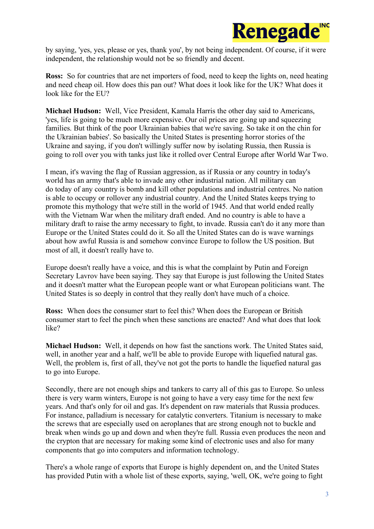

by saying, 'yes, yes, please or yes, thank you', by not being independent. Of course, if it were independent, the relationship would not be so friendly and decent.

**Ross:** So for countries that are net importers of food, need to keep the lights on, need heating and need cheap oil. How does this pan out? What does it look like for the UK? What does it look like for the EU?

**Michael Hudson:** Well, Vice President, Kamala Harris the other day said to Americans, 'yes, life is going to be much more expensive. Our oil prices are going up and squeezing families. But think of the poor Ukrainian babies that we're saving. So take it on the chin for the Ukrainian babies'. So basically the United States is presenting horror stories of the Ukraine and saying, if you don't willingly suffer now by isolating Russia, then Russia is going to roll over you with tanks just like it rolled over Central Europe after World War Two.

I mean, it's waving the flag of Russian aggression, as if Russia or any country in today's world has an army that's able to invade any other industrial nation. All military can do today of any country is bomb and kill other populations and industrial centres. No nation is able to occupy or rollover any industrial country. And the United States keeps trying to promote this mythology that we're still in the world of 1945. And that world ended really with the Vietnam War when the military draft ended. And no country is able to have a military draft to raise the army necessary to fight, to invade. Russia can't do it any more than Europe or the United States could do it. So all the United States can do is wave warnings about how awful Russia is and somehow convince Europe to follow the US position. But most of all, it doesn't really have to.

Europe doesn't really have a voice, and this is what the complaint by Putin and Foreign Secretary Lavrov have been saying. They say that Europe is just following the United States and it doesn't matter what the European people want or what European politicians want. The United States is so deeply in control that they really don't have much of a choice.

**Ross:** When does the consumer start to feel this? When does the European or British consumer start to feel the pinch when these sanctions are enacted? And what does that look like?

**Michael Hudson:** Well, it depends on how fast the sanctions work. The United States said, well, in another year and a half, we'll be able to provide Europe with liquefied natural gas. Well, the problem is, first of all, they've not got the ports to handle the liquefied natural gas to go into Europe.

Secondly, there are not enough ships and tankers to carry all of this gas to Europe. So unless there is very warm winters, Europe is not going to have a very easy time for the next few years. And that's only for oil and gas. It's dependent on raw materials that Russia produces. For instance, palladium is necessary for catalytic converters. Titanium is necessary to make the screws that are especially used on aeroplanes that are strong enough not to buckle and break when winds go up and down and when they're full. Russia even produces the neon and the crypton that are necessary for making some kind of electronic uses and also for many components that go into computers and information technology.

There's a whole range of exports that Europe is highly dependent on, and the United States has provided Putin with a whole list of these exports, saying, 'well, OK, we're going to fight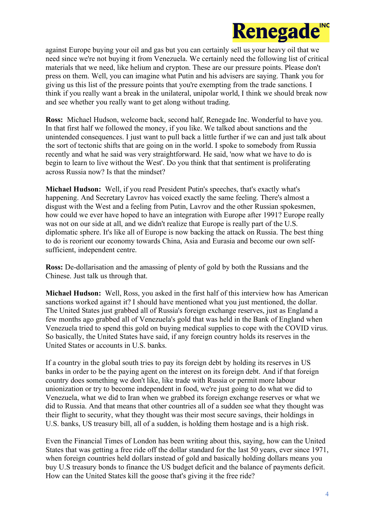

against Europe buying your oil and gas but you can certainly sell us your heavy oil that we need since we're not buying it from Venezuela. We certainly need the following list of critical materials that we need, like helium and crypton. These are our pressure points. Please don't press on them. Well, you can imagine what Putin and his advisers are saying. Thank you for giving us this list of the pressure points that you're exempting from the trade sanctions. I think if you really want a break in the unilateral, unipolar world, I think we should break now and see whether you really want to get along without trading.

**Ross:** Michael Hudson, welcome back, second half, Renegade Inc. Wonderful to have you. In that first half we followed the money, if you like. We talked about sanctions and the unintended consequences. I just want to pull back a little further if we can and just talk about the sort of tectonic shifts that are going on in the world. I spoke to somebody from Russia recently and what he said was very straightforward. He said, 'now what we have to do is begin to learn to live without the West'. Do you think that that sentiment is proliferating across Russia now? Is that the mindset?

**Michael Hudson:** Well, if you read President Putin's speeches, that's exactly what's happening. And Secretary Lavrov has voiced exactly the same feeling. There's almost a disgust with the West and a feeling from Putin, Lavrov and the other Russian spokesmen, how could we ever have hoped to have an integration with Europe after 1991? Europe really was not on our side at all, and we didn't realize that Europe is really part of the U.S. diplomatic sphere. It's like all of Europe is now backing the attack on Russia. The best thing to do is reorient our economy towards China, Asia and Eurasia and become our own selfsufficient, independent centre.

**Ross:** De-dollarisation and the amassing of plenty of gold by both the Russians and the Chinese. Just talk us through that.

**Michael Hudson:** Well, Ross, you asked in the first half of this interview how has American sanctions worked against it? I should have mentioned what you just mentioned, the dollar. The United States just grabbed all of Russia's foreign exchange reserves, just as England a few months ago grabbed all of Venezuela's gold that was held in the Bank of England when Venezuela tried to spend this gold on buying medical supplies to cope with the COVID virus. So basically, the United States have said, if any foreign country holds its reserves in the United States or accounts in U.S. banks.

If a country in the global south tries to pay its foreign debt by holding its reserves in US banks in order to be the paying agent on the interest on its foreign debt. And if that foreign country does something we don't like, like trade with Russia or permit more labour unionization or try to become independent in food, we're just going to do what we did to Venezuela, what we did to Iran when we grabbed its foreign exchange reserves or what we did to Russia. And that means that other countries all of a sudden see what they thought was their flight to security, what they thought was their most secure savings, their holdings in U.S. banks, US treasury bill, all of a sudden, is holding them hostage and is a high risk.

Even the Financial Times of London has been writing about this, saying, how can the United States that was getting a free ride off the dollar standard for the last 50 years, ever since 1971, when foreign countries held dollars instead of gold and basically holding dollars means you buy U.S treasury bonds to finance the US budget deficit and the balance of payments deficit. How can the United States kill the goose that's giving it the free ride?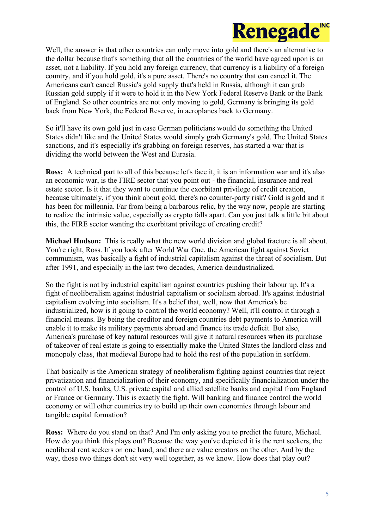

Well, the answer is that other countries can only move into gold and there's an alternative to the dollar because that's something that all the countries of the world have agreed upon is an asset, not a liability. If you hold any foreign currency, that currency is a liability of a foreign country, and if you hold gold, it's a pure asset. There's no country that can cancel it. The Americans can't cancel Russia's gold supply that's held in Russia, although it can grab Russian gold supply if it were to hold it in the New York Federal Reserve Bank or the Bank of England. So other countries are not only moving to gold, Germany is bringing its gold back from New York, the Federal Reserve, in aeroplanes back to Germany.

So it'll have its own gold just in case German politicians would do something the United States didn't like and the United States would simply grab Germany's gold. The United States sanctions, and it's especially it's grabbing on foreign reserves, has started a war that is dividing the world between the West and Eurasia.

**Ross:** A technical part to all of this because let's face it, it is an information war and it's also an economic war, is the FIRE sector that you point out - the financial, insurance and real estate sector. Is it that they want to continue the exorbitant privilege of credit creation, because ultimately, if you think about gold, there's no counter-party risk? Gold is gold and it has been for millennia. Far from being a barbarous relic, by the way now, people are starting to realize the intrinsic value, especially as crypto falls apart. Can you just talk a little bit about this, the FIRE sector wanting the exorbitant privilege of creating credit?

**Michael Hudson:** This is really what the new world division and global fracture is all about. You're right, Ross. If you look after World War One, the American fight against Soviet communism, was basically a fight of industrial capitalism against the threat of socialism. But after 1991, and especially in the last two decades, America deindustrialized.

So the fight is not by industrial capitalism against countries pushing their labour up. It's a fight of neoliberalism against industrial capitalism or socialism abroad. It's against industrial capitalism evolving into socialism. It's a belief that, well, now that America's be industrialized, how is it going to control the world economy? Well, it'll control it through a financial means. By being the creditor and foreign countries debt payments to America will enable it to make its military payments abroad and finance its trade deficit. But also, America's purchase of key natural resources will give it natural resources when its purchase of takeover of real estate is going to essentially make the United States the landlord class and monopoly class, that medieval Europe had to hold the rest of the population in serfdom.

That basically is the American strategy of neoliberalism fighting against countries that reject privatization and financialization of their economy, and specifically financialization under the control of U.S. banks, U.S. private capital and allied satellite banks and capital from England or France or Germany. This is exactly the fight. Will banking and finance control the world economy or will other countries try to build up their own economies through labour and tangible capital formation?

**Ross:** Where do you stand on that? And I'm only asking you to predict the future, Michael. How do you think this plays out? Because the way you've depicted it is the rent seekers, the neoliberal rent seekers on one hand, and there are value creators on the other. And by the way, those two things don't sit very well together, as we know. How does that play out?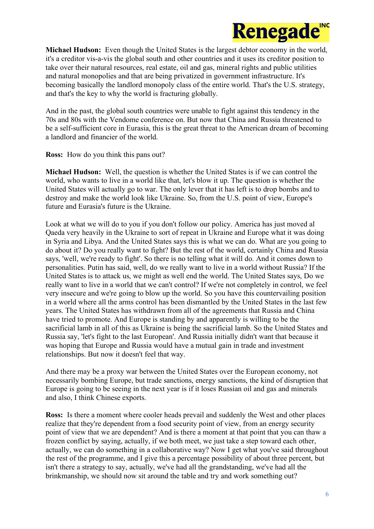

**Michael Hudson:** Even though the United States is the largest debtor economy in the world, it's a creditor vis-a-vis the global south and other countries and it uses its creditor position to take over their natural resources, real estate, oil and gas, mineral rights and public utilities and natural monopolies and that are being privatized in government infrastructure. It's becoming basically the landlord monopoly class of the entire world. That's the U.S. strategy, and that's the key to why the world is fracturing globally.

And in the past, the global south countries were unable to fight against this tendency in the 70s and 80s with the Vendome conference on. But now that China and Russia threatened to be a self-sufficient core in Eurasia, this is the great threat to the American dream of becoming a landlord and financier of the world.

**Ross:** How do you think this pans out?

**Michael Hudson:** Well, the question is whether the United States is if we can control the world, who wants to live in a world like that, let's blow it up. The question is whether the United States will actually go to war. The only lever that it has left is to drop bombs and to destroy and make the world look like Ukraine. So, from the U.S. point of view, Europe's future and Eurasia's future is the Ukraine.

Look at what we will do to you if you don't follow our policy. America has just moved al Qaeda very heavily in the Ukraine to sort of repeat in Ukraine and Europe what it was doing in Syria and Libya. And the United States says this is what we can do. What are you going to do about it? Do you really want to fight? But the rest of the world, certainly China and Russia says, 'well, we're ready to fight'. So there is no telling what it will do. And it comes down to personalities. Putin has said, well, do we really want to live in a world without Russia? If the United States is to attack us, we might as well end the world. The United States says, Do we really want to live in a world that we can't control? If we're not completely in control, we feel very insecure and we're going to blow up the world. So you have this countervailing position in a world where all the arms control has been dismantled by the United States in the last few years. The United States has withdrawn from all of the agreements that Russia and China have tried to promote. And Europe is standing by and apparently is willing to be the sacrificial lamb in all of this as Ukraine is being the sacrificial lamb. So the United States and Russia say, 'let's fight to the last European'. And Russia initially didn't want that because it was hoping that Europe and Russia would have a mutual gain in trade and investment relationships. But now it doesn't feel that way.

And there may be a proxy war between the United States over the European economy, not necessarily bombing Europe, but trade sanctions, energy sanctions, the kind of disruption that Europe is going to be seeing in the next year is if it loses Russian oil and gas and minerals and also, I think Chinese exports.

**Ross:** Is there a moment where cooler heads prevail and suddenly the West and other places realize that they're dependent from a food security point of view, from an energy security point of view that we are dependent? And is there a moment at that point that you can thaw a frozen conflict by saying, actually, if we both meet, we just take a step toward each other, actually, we can do something in a collaborative way? Now I get what you've said throughout the rest of the programme, and I give this a percentage possibility of about three percent, but isn't there a strategy to say, actually, we've had all the grandstanding, we've had all the brinkmanship, we should now sit around the table and try and work something out?